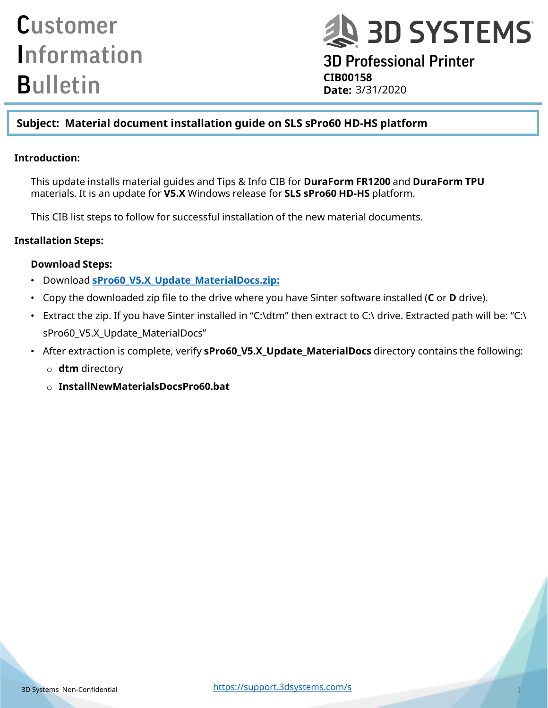# **DESPIREMS**

3D Professional Printer **CIB00158 Date:**

### **Subject: Material document installation guide on SLS sPro60 HD-HS platform**

#### **Introduction:**

This update installs material guides and Tips & Info CIB for **DuraForm FR1200** and **DuraForm TPU**  materials. It is an update for **V5.X** Windows release for **SLS sPro60 HD-HS** platform.

This CIB list steps to follow for successful installation of the new material documents.

#### **Installation Steps:**

#### **Download Steps:**

- Download **[sPro60\\_V5.X\\_Update\\_MaterialDocs.zip:](http://infocenter.3dsystems.com/product-library/sites/default/files/printers/spro60/5_2/sPro60_V5.X_Update_MaterialDocs%20%281%29.zip)**
- Copy the downloaded zip file to the drive where you have Sinter software installed (**C** or **D** drive).
- Extract the zip. If you have Sinter installed in "C:\dtm" then extract to C:\ drive. Extracted path will be: "C:\ sPro60\_V5.X\_Update\_MaterialDocs"
- After extraction is complete, verify **sPro60\_V5.X\_Update\_MaterialDocs** directory contains the following:
	- o **dtm** directory
	- o **InstallNewMaterialsDocsPro60.bat**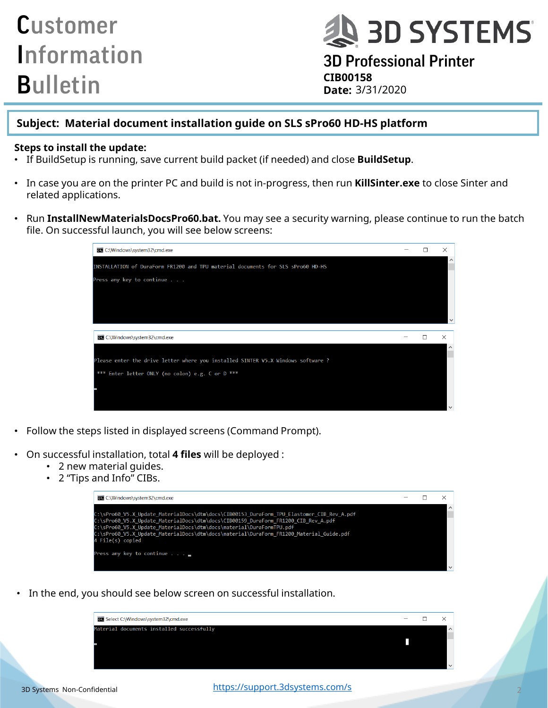# **Q 3D SYSTEMS**

3D Professional Printer **CIB00158 Date:**

### **Subject: Material document installation guide on SLS sPro60 HD-HS platform**

#### **Steps to install the update:**

- If BuildSetup is running, save current build packet (if needed) and close **BuildSetup**.
- In case you are on the printer PC and build is not in-progress, then run **KillSinter.exe** to close Sinter and related applications.
- Run **InstallNewMaterialsDocsPro60.bat.** You may see a security warning, please continue to run the batch file. On successful launch, you will see below screens:



- Follow the steps listed in displayed screens (Command Prompt).
- On successful installation, total **4 files** will be deployed :
	- 2 new material guides.
	- 2 "Tips and Info" CIBs.



• In the end, you should see below screen on successful installation.

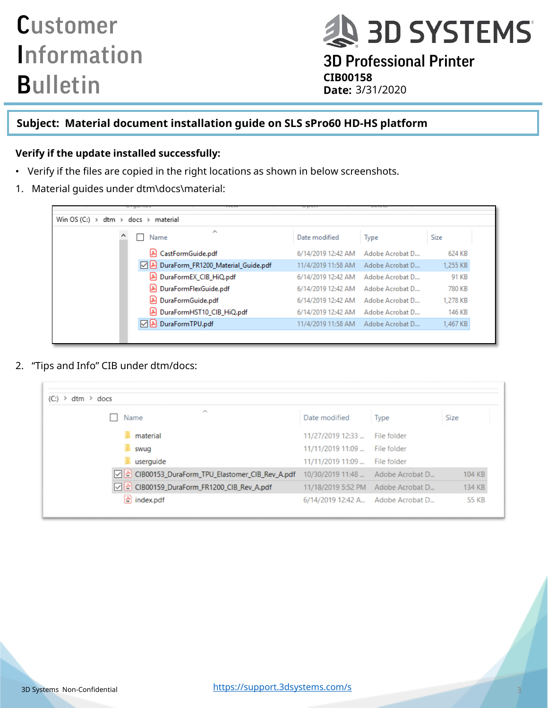**AD SYSTEMS** 

3D Professional Printer **CIB00158 Date:**

### **Subject: Material document installation guide on SLS sPro60 HD-HS platform**

#### **Verify if the update installed successfully:**

- Verify if the files are copied in the right locations as shown in below screenshots.
- 1. Material guides under dtm\docs\material:

| Win OS (C:) $\rightarrow$ dtm $\rightarrow$ docs $\rightarrow$ material |                    |                 |          |
|-------------------------------------------------------------------------|--------------------|-----------------|----------|
| ∼<br>Name                                                               | Date modified      | <b>Type</b>     | Size     |
| & CastFormGuide.pdf                                                     | 6/14/2019 12:42 AM | Adobe Acrobat D | 624 KB   |
| D & DuraForm_FR1200_Material_Guide.pdf                                  | 11/4/2019 11:58 AM | Adobe Acrobat D | 1,255 KB |
| DuraFormEX_CIB_HiQ.pdf                                                  | 6/14/2019 12:42 AM | Adobe Acrobat D | 91 KB    |
| & DuraFormFlexGuide.pdf                                                 | 6/14/2019 12:42 AM | Adobe Acrobat D | 780 KB   |
| DuraFormGuide.pdf                                                       | 6/14/2019 12:42 AM | Adobe Acrobat D | 1,278 KB |
| DuraFormHST10_CIB_HiQ.pdf                                               | 6/14/2019 12:42 AM | Adobe Acrobat D | 146 KB   |
| DuraFormTPU.pdf                                                         | 11/4/2019 11:58 AM | Adobe Acrobat D | 1,467 KB |

2. "Tips and Info" CIB under dtm/docs:

| $\curvearrowright$                                |                                       |                 |              |
|---------------------------------------------------|---------------------------------------|-----------------|--------------|
| Name                                              | Date modified                         | Type            | Size         |
| material                                          | 11/27/2019 12:33                      | File folder     |              |
| swug                                              | 11/11/2019 11:09                      | File folder     |              |
| userquide                                         | 11/11/2019 11:09                      | File folder     |              |
| ○ 소 CIB00153_DuraForm_TPU_Elastomer_CIB_Rev_A.pdf | 10/30/2019 11:48  Adobe Acrobat D     |                 | 104 KB       |
| ○ & CIB00159_DuraForm_FR1200_CIB_Rev_A.pdf        | 11/18/2019 5:52 PM                    | Adobe Acrobat D | 134 KB       |
| $\left  \cdot \right $ index.pdf                  | 6/14/2019 12:42 A., Adobe Acrobat D., |                 | <b>55 KB</b> |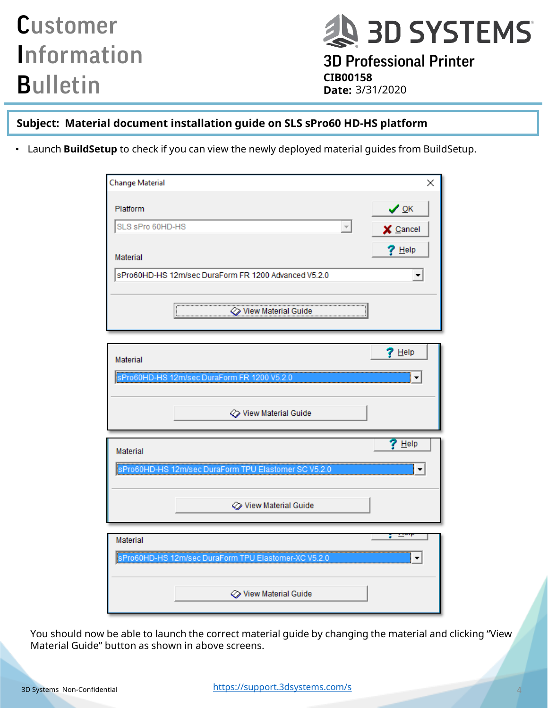**AD SYSTEMS** 3D Professional Printer **CIB00158 Date:**

### **Subject: Material document installation guide on SLS sPro60 HD-HS platform**

• Launch **BuildSetup** to check if you can view the newly deployed material guides from BuildSetup.

| Change Material<br>×                                 |
|------------------------------------------------------|
| $\vee$ ok<br>Platform                                |
| SLS sPro 60HD-HS<br>$\overline{\nabla}$<br>X Cancel  |
| $?$ Help<br>Material                                 |
| sPro60HD-HS 12m/sec DuraForm FR 1200 Advanced V5.2.0 |
| $\oslash$ View Material Guide                        |
| $?$ Help                                             |
| Material                                             |
| sPro60HD-HS 12m/sec DuraForm FR 1200 V5.2.0          |
| √ View Material Guide                                |
| $?$ Help<br><b>Material</b>                          |
| sPro60HD-HS 12m/sec DuraForm TPU Elastomer SC V5.2.0 |
| √ View Material Guide                                |
| <b>TIGH</b><br>з.<br>Material                        |
| sPro60HD-HS 12m/sec DuraForm TPU Elastomer-XC V5.2.0 |
| <b>♦ View Material Guide</b>                         |

You should now be able to launch the correct material guide by changing the material and clicking "View Material Guide" button as shown in above screens.